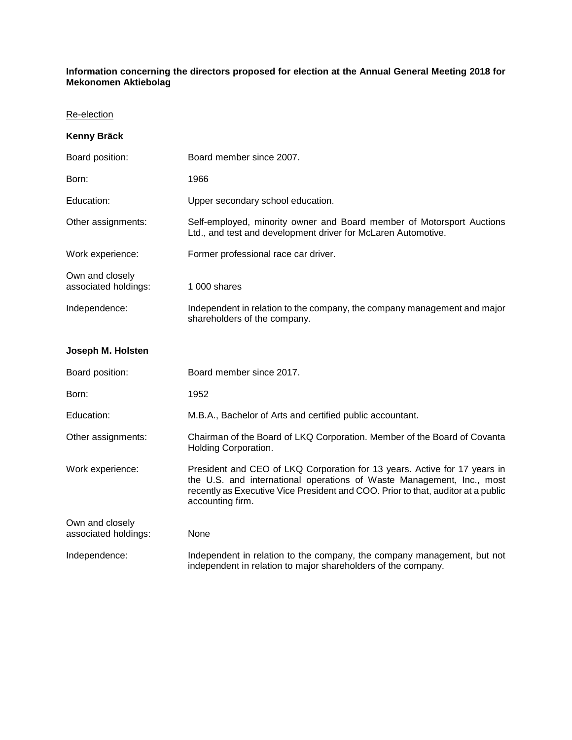## **Information concerning the directors proposed for election at the Annual General Meeting 2018 for Mekonomen Aktiebolag**

## Re-election

| <b>Kenny Bräck</b>                      |                                                                                                                                                                                                                                                            |
|-----------------------------------------|------------------------------------------------------------------------------------------------------------------------------------------------------------------------------------------------------------------------------------------------------------|
| Board position:                         | Board member since 2007.                                                                                                                                                                                                                                   |
| Born:                                   | 1966                                                                                                                                                                                                                                                       |
| Education:                              | Upper secondary school education.                                                                                                                                                                                                                          |
| Other assignments:                      | Self-employed, minority owner and Board member of Motorsport Auctions<br>Ltd., and test and development driver for McLaren Automotive.                                                                                                                     |
| Work experience:                        | Former professional race car driver.                                                                                                                                                                                                                       |
| Own and closely<br>associated holdings: | 1 000 shares                                                                                                                                                                                                                                               |
| Independence:                           | Independent in relation to the company, the company management and major<br>shareholders of the company.                                                                                                                                                   |
| Joseph M. Holsten                       |                                                                                                                                                                                                                                                            |
| Board position:                         | Board member since 2017.                                                                                                                                                                                                                                   |
| Born:                                   | 1952                                                                                                                                                                                                                                                       |
| Education:                              | M.B.A., Bachelor of Arts and certified public accountant.                                                                                                                                                                                                  |
| Other assignments:                      | Chairman of the Board of LKQ Corporation. Member of the Board of Covanta<br>Holding Corporation.                                                                                                                                                           |
| Work experience:                        | President and CEO of LKQ Corporation for 13 years. Active for 17 years in<br>the U.S. and international operations of Waste Management, Inc., most<br>recently as Executive Vice President and COO. Prior to that, auditor at a public<br>accounting firm. |
| Own and closely<br>associated holdings: | None                                                                                                                                                                                                                                                       |
| Independence:                           | Independent in relation to the company, the company management, but not<br>independent in relation to major shareholders of the company.                                                                                                                   |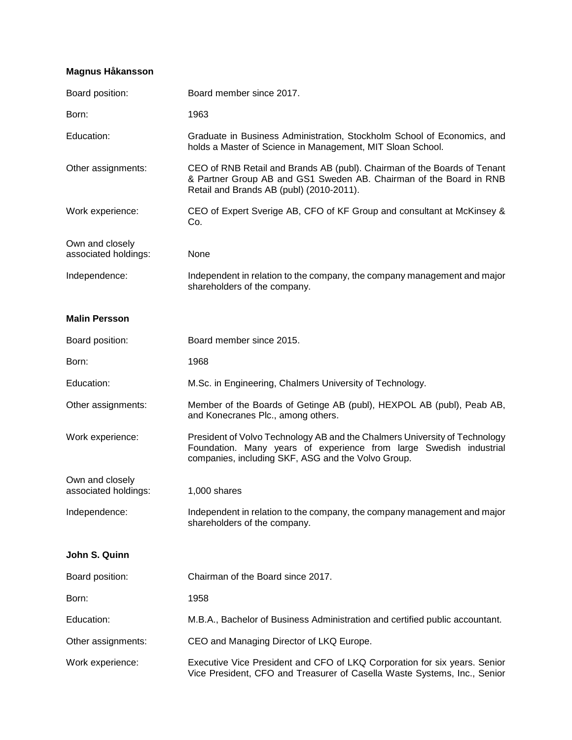## **Magnus Håkansson**

| Board position:                         | Board member since 2017.                                                                                                                                                                               |
|-----------------------------------------|--------------------------------------------------------------------------------------------------------------------------------------------------------------------------------------------------------|
| Born:                                   | 1963                                                                                                                                                                                                   |
| Education:                              | Graduate in Business Administration, Stockholm School of Economics, and<br>holds a Master of Science in Management, MIT Sloan School.                                                                  |
| Other assignments:                      | CEO of RNB Retail and Brands AB (publ). Chairman of the Boards of Tenant<br>& Partner Group AB and GS1 Sweden AB. Chairman of the Board in RNB<br>Retail and Brands AB (publ) (2010-2011).             |
| Work experience:                        | CEO of Expert Sverige AB, CFO of KF Group and consultant at McKinsey &<br>Co.                                                                                                                          |
| Own and closely<br>associated holdings: | None                                                                                                                                                                                                   |
| Independence:                           | Independent in relation to the company, the company management and major<br>shareholders of the company.                                                                                               |
| <b>Malin Persson</b>                    |                                                                                                                                                                                                        |
| Board position:                         | Board member since 2015.                                                                                                                                                                               |
| Born:                                   | 1968                                                                                                                                                                                                   |
| Education:                              | M.Sc. in Engineering, Chalmers University of Technology.                                                                                                                                               |
| Other assignments:                      | Member of the Boards of Getinge AB (publ), HEXPOL AB (publ), Peab AB,<br>and Konecranes Plc., among others.                                                                                            |
| Work experience:                        | President of Volvo Technology AB and the Chalmers University of Technology<br>Foundation. Many years of experience from large Swedish industrial<br>companies, including SKF, ASG and the Volvo Group. |
| Own and closely<br>associated holdings: | 1,000 shares                                                                                                                                                                                           |
|                                         |                                                                                                                                                                                                        |
| Independence:                           | Independent in relation to the company, the company management and major<br>shareholders of the company.                                                                                               |
| John S. Quinn                           |                                                                                                                                                                                                        |
| Board position:                         | Chairman of the Board since 2017.                                                                                                                                                                      |
| Born:                                   | 1958                                                                                                                                                                                                   |
| Education:                              | M.B.A., Bachelor of Business Administration and certified public accountant.                                                                                                                           |
| Other assignments:                      | CEO and Managing Director of LKQ Europe.                                                                                                                                                               |
| Work experience:                        | Executive Vice President and CFO of LKQ Corporation for six years. Senior<br>Vice President, CFO and Treasurer of Casella Waste Systems, Inc., Senior                                                  |